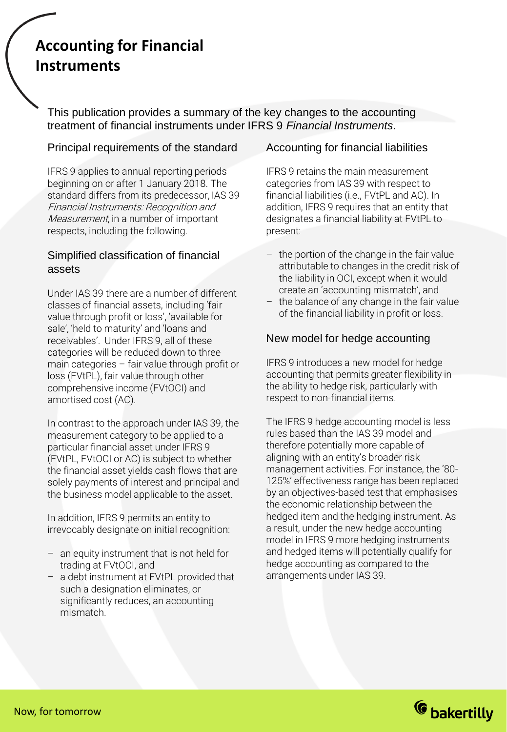# **Accounting for Financial Instruments**

This publication provides a summary of the key changes to the accounting treatment of financial instruments under IFRS 9 *Financial Instruments*.

### Principal requirements of the standard

IFRS 9 applies to annual reporting periods beginning on or after 1 January 2018. The standard differs from its predecessor, IAS 39 Financial Instruments: Recognition and Measurement, in a number of important respects, including the following.

### Simplified classification of financial assets

Under IAS 39 there are a number of different classes of financial assets, including 'fair value through profit or loss', 'available for sale', 'held to maturity' and 'loans and receivables'. Under IFRS 9, all of these categories will be reduced down to three main categories – fair value through profit or loss (FVtPL), fair value through other comprehensive income (FVtOCI) and amortised cost (AC).

In contrast to the approach under IAS 39, the measurement category to be applied to a particular financial asset under IFRS 9 (FVtPL, FVtOCI or AC) is subject to whether the financial asset yields cash flows that are solely payments of interest and principal and the business model applicable to the asset.

In addition, IFRS 9 permits an entity to irrevocably designate on initial recognition:

- an equity instrument that is not held for trading at FVtOCI, and
- a debt instrument at FVtPL provided that such a designation eliminates, or significantly reduces, an accounting mismatch.

# Accounting for financial liabilities

IFRS 9 retains the main measurement categories from IAS 39 with respect to financial liabilities (i.e., FVtPL and AC). In addition, IFRS 9 requires that an entity that designates a financial liability at FVtPL to present:

- the portion of the change in the fair value attributable to changes in the credit risk of the liability in OCI, except when it would create an 'accounting mismatch', and
- the balance of any change in the fair value of the financial liability in profit or loss.

# New model for hedge accounting

IFRS 9 introduces a new model for hedge accounting that permits greater flexibility in the ability to hedge risk, particularly with respect to non-financial items.

The IFRS 9 hedge accounting model is less rules based than the IAS 39 model and therefore potentially more capable of aligning with an entity's broader risk management activities. For instance, the '80- 125%' effectiveness range has been replaced by an objectives-based test that emphasises the economic relationship between the hedged item and the hedging instrument. As a result, under the new hedge accounting model in IFRS 9 more hedging instruments and hedged items will potentially qualify for hedge accounting as compared to the arrangements under IAS 39.